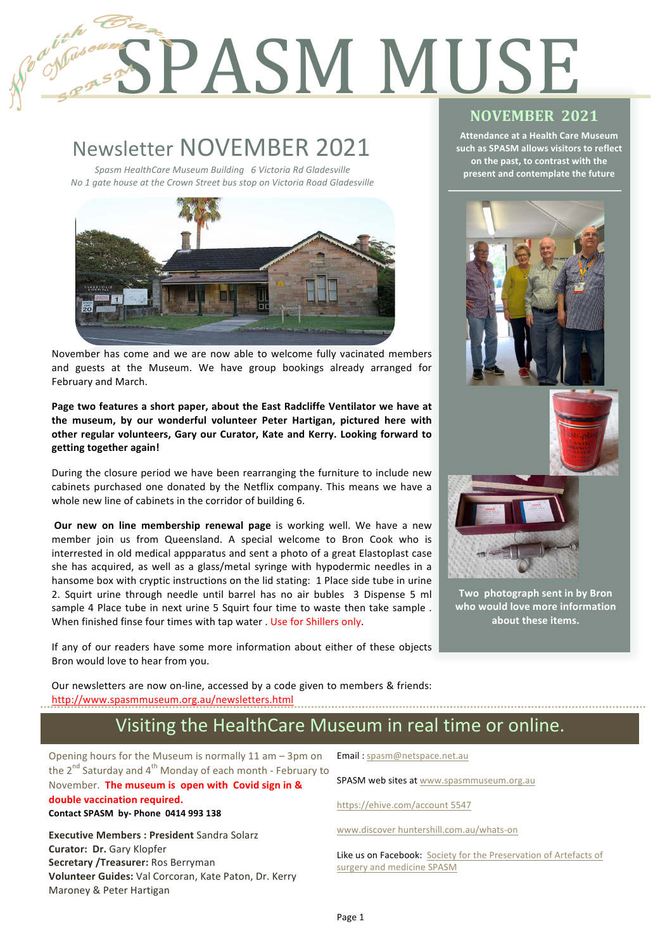# Register SPASM MUSE

# Newsletter NOVEMBER 2021

1

2

*Spasm HealthCare Museum Building 6 Victoria Rd Gladesville No* 1 gate house at the Crown Street bus stop on Victoria Road Gladesville



November has come and we are now able to welcome fully vacinated members and guests at the Museum. We have group bookings already arranged for February and March.

Page two features a short paper, about the East Radcliffe Ventilator we have at the museum, by our wonderful volunteer Peter Hartigan, pictured here with other regular volunteers, Gary our Curator, Kate and Kerry. Looking forward to **getting together again!** 

During the closure period we have been rearranging the furniture to include new cabinets purchased one donated by the Netflix company. This means we have a whole new line of cabinets in the corridor of building 6.

**Our new on line membership renewal page** is working well. We have a new member join us from Queensland. A special welcome to Bron Cook who is interrested in old medical appparatus and sent a photo of a great Elastoplast case she has acquired, as well as a glass/metal syringe with hypodermic needles in a hansome box with cryptic instructions on the lid stating: 1 Place side tube in urine 2. Squirt urine through needle until barrel has no air bubles 3 Dispense 5 ml sample 4 Place tube in next urine 5 Squirt four time to waste then take sample. When finished finse four times with tap water . Use for Shillers only.

If any of our readers have some more information about either of these objects Bron would love to hear from you.

**NOVEMBER 2021** 

**Attendance at a Health Care Museum** such as SPASM allows visitors to reflect **on the past, to contrast with the present and contemplate the future**



Two photograph sent in by Bron who would love more information about these items.

Our newsletters are now on-line, accessed by a code given to members & friends: http://www.spasmmuseum.org.au/newsletters.html

## Visiting the HealthCare Museum in real time or online.

Opening hours for the Museum is normally  $11$  am  $-$  3pm on the  $2^{nd}$  Saturday and  $4^{th}$  Monday of each month - February to November. The museum is open with Covid sign in & double vaccination required. **Contact SPASM by- Phone 0414 993 138** 

**Executive Members : President Sandra Solarz Curator: Dr.** Gary Klopfer **Secretary /Treasurer:** Ros Berryman **Volunteer Guides:** Val Corcoran, Kate Paton, Dr. Kerry Maroney & Peter Hartigan

Email: spasm@netspace.net.au

SPASM web sites at www.spasmmuseum.org.au

https://ehive.com/account 5547

www.discover huntershill.com.au/whats-on

Like us on Facebook: Society for the Preservation of Artefacts of surgery and medicine SPASM